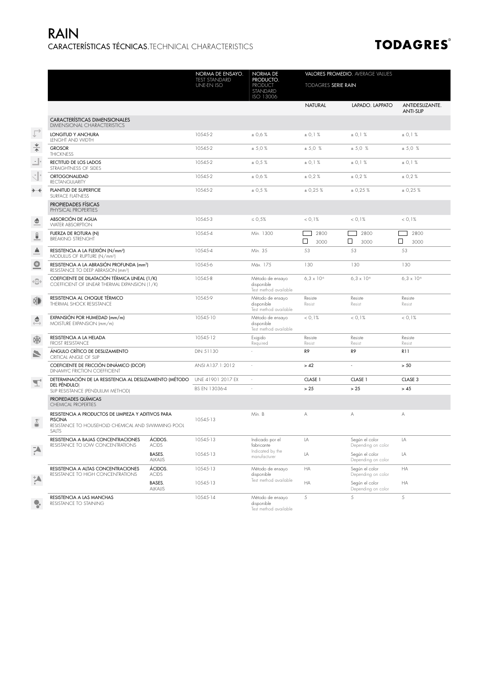## CARACTERÍSTICAS TÉCNICAS.TECHNICAL CHARACTERISTICS RAIN

## **TODAGRES®**

|                            |                                                                                                                                      |                                                                                | NORMA DE ENSAYO.                   | NORMA DE                                                | VALORES PROMEDIO. AVERAGE VALUES       |                                      |                                     |  |  |
|----------------------------|--------------------------------------------------------------------------------------------------------------------------------------|--------------------------------------------------------------------------------|------------------------------------|---------------------------------------------------------|----------------------------------------|--------------------------------------|-------------------------------------|--|--|
|                            |                                                                                                                                      |                                                                                | TEST STANDARD<br><b>UNE-EN ISO</b> | PRODUCTO.<br><b>PRODUCT</b><br>STANDARD<br>ISO 13006    | <b>TODAGRES SERIE RAIN</b>             |                                      |                                     |  |  |
|                            |                                                                                                                                      |                                                                                |                                    |                                                         | <b>NATURAL</b>                         | LAPADO. LAPPATO                      | ANTIDESLIZANTE.<br><b>ANTI-SLIP</b> |  |  |
|                            | <b>CARACTERÍSTICAS DIMENSIONALES</b><br><b>DIMENSIONAL CHARACTERISTICS</b>                                                           |                                                                                |                                    |                                                         |                                        |                                      |                                     |  |  |
|                            | LONGITUD Y ANCHURA<br>LENGHT AND WIDTH                                                                                               |                                                                                | 10545-2                            | ± 0.6 %                                                 | ± 0.1 %                                | ± 0.1 %                              | ± 0.1 %                             |  |  |
| $\frac{4}{1}$              | <b>GROSOR</b><br><b>THICKNESS</b>                                                                                                    |                                                                                | 10545-2                            | ± 5.0%                                                  | ± 5.0 %                                | ± 5.0 %                              | ± 5.0 %                             |  |  |
| ∸⊩                         | RECTITUD DE LOS LADOS<br>STRAIGHTNESS OF SIDES                                                                                       |                                                                                | 10545-2                            | ± 0,5%                                                  | ± 0.1 %                                | ± 0,1%                               | ± 0.1 %                             |  |  |
| d.                         | ORTOGONALIDAD<br><b>RECTANGULARITY</b>                                                                                               |                                                                                | 10545-2                            | ± 0.6%                                                  | ± 0.2%                                 | ± 0.2 %                              | ± 0.2 %                             |  |  |
| $\rightarrow$ $\leftarrow$ | PLANITUD DE SUPERFICIE<br>SURFACE FLATNESS                                                                                           | 10545-2                                                                        | ± 0.5%                             | ± 0.25%                                                 | ± 0.25%                                | ± 0.25%                              |                                     |  |  |
|                            | PROPIEDADES FÍSICAS<br>PHYSICAL PROPERTIES                                                                                           |                                                                                |                                    |                                                         |                                        |                                      |                                     |  |  |
| ٥                          | ABSORCIÓN DE AGUA<br><b>WATER ABSORPTION</b>                                                                                         |                                                                                | 10545-3                            | $\leq 0.5\%$                                            | < 0.1%                                 | < 0.1%                               | < 0.1%                              |  |  |
| $\widehat{\bullet}$        | FUERZA DE ROTURA (N)<br><b>BREAKING STRENGHT</b>                                                                                     |                                                                                | 10545-4                            | Mín. 1300                                               | ┌─┐<br>2800                            | $\Box$<br>2800                       | 2800<br>$\Box$                      |  |  |
|                            |                                                                                                                                      |                                                                                |                                    |                                                         | $\Box$<br>3000                         | $\Box$<br>3000                       | $\Box$<br>3000                      |  |  |
| Å                          | RESISTENCIA A LA FLEXIÓN (N/mm <sup>2</sup> )<br>MODULUS OF RUPTURE (N/mm <sup>2</sup> )                                             |                                                                                | 10545-4                            | Mín. 35                                                 | 53                                     | 53                                   | 53                                  |  |  |
| ۰                          | RESISTENCIA A LA ABRASIÓN PROFUNDA (mm <sup>3</sup> )<br>RESISTANCE TO DEEP ABRASION (mm <sup>3</sup> )                              |                                                                                | 10545-6                            | Máx 175                                                 | 130                                    | 130                                  | 130                                 |  |  |
| $\oplus$                   | COEFICIENTE DE DILATACIÓN TÉRMICA LINEAL (1/K)<br>COEFFICIENT OF LINEAR THERMAL EXPANSION (1/K)                                      |                                                                                | 10545-8                            | Método de ensayo<br>disponible<br>Test method available | $6.3 \times 10^{6}$                    | $6.3 \times 10^{6}$                  | $6.3 \times 10^{6}$                 |  |  |
| 繅                          | RESISTENCIA AL CHOQUE TÉRMICO<br>THERMAL SHOCK RESISTANCE                                                                            |                                                                                | 10545-9                            | Método de ensayo<br>disponible<br>Test method available | Resiste<br>Resist                      | Resiste<br>Resist                    | Resiste<br>Resist<br>< 0.1%         |  |  |
| ۵                          | EXPANSIÓN POR HUMEDAD (mm/m)<br>MOISTURE EXPANSION (mm/m)                                                                            |                                                                                | 10545-10                           | Método de ensayo<br>disponible<br>Test method available | < 0.1%                                 | < 0.1%                               |                                     |  |  |
| 豢                          | RESISTENCIA A LA HELADA<br><b>FROST RESISTANCE</b>                                                                                   |                                                                                | 10545-12                           | Exigido<br>Required                                     | Resiste<br>Resiste<br>Resist<br>Resist |                                      | Resiste<br>Resist                   |  |  |
| N                          | ÁNGULO CRÍTICO DE DESLIZAMIENTO<br>CRITICAL ANGLE OF SLIP                                                                            | COEFICIENTE DE FRICCIÓN DINÁMICO (DCOF)<br><b>DINAMYC FRICTION COEFFICIENT</b> |                                    | ÷.                                                      | R <sub>9</sub>                         | R <sub>9</sub>                       | <b>R11</b>                          |  |  |
|                            |                                                                                                                                      |                                                                                |                                    | ×.                                                      | > 42                                   | $\overline{a}$                       | > 50                                |  |  |
| $\mathbf{T}$               | DETERMINACIÓN DE LA RESISTENCIA AL DESLIZAMIENTO (MÉTODO<br>DEL PÉNDULOI<br>SLIP RESISTANCE (PENDULUM METHOD)                        |                                                                                | UNE 41901 2017 EX                  | ×.                                                      | CLASE 1                                | CLASE 1                              | CLASE 3                             |  |  |
|                            |                                                                                                                                      |                                                                                | BS EN 13036-4                      | $\bar{z}$                                               | > 25                                   | > 25                                 | > 45                                |  |  |
|                            | PROPIEDADES QUÍMICAS<br><b>CHEMICAL PROPERTIES</b>                                                                                   |                                                                                |                                    |                                                         |                                        |                                      |                                     |  |  |
|                            | RESISTENCIA A PRODUCTOS DE LIMPIEZA Y ADITIVOS PARA<br><b>PISCINA</b><br>RESISTANCE TO HOUSEHOLD CHEMICAL AND SWIMMING POOL<br>SALTS |                                                                                | 10545-13                           | Mín. B                                                  | А                                      | Α                                    |                                     |  |  |
|                            | RESISTENCIA A BAJAS CONCENTRACIONES<br>RESISTANCE TO LOW CONCENTRATIONS                                                              | ÁCIDOS.<br><b>ACIDS</b>                                                        | 10545-13                           | Indicado por el<br>fabricante                           | LA                                     | Según el color<br>Depending on color | LA                                  |  |  |
| Ã,                         |                                                                                                                                      | BASES.<br>ALKALIS                                                              | 10545-13                           | Indicated by the<br>manufacturer                        | LA                                     | Según el color<br>Depending on color | LΑ                                  |  |  |
|                            | RESISTENCIA A ALTAS CONCENTRACIONES<br>RESISTANCE TO HIGH CONCENTRATIONS                                                             | ÁCIDOS.<br><b>ACIDS</b>                                                        | 10545-13                           | Método de ensayo<br>disponible                          | HA                                     | Según el color<br>Depending on color | HA                                  |  |  |
| $\blacktriangle^+$         |                                                                                                                                      | BASES.<br>ALKALIS                                                              | 10545-13                           | Test method available                                   | HA                                     | Según el color<br>Depending on color | НA                                  |  |  |
|                            | RESISTENCIA A LAS MANCHAS<br>RESISTANCE TO STAINING                                                                                  |                                                                                | 10545-14                           | Método de ensayo<br>disponible                          | 5                                      | 5                                    | 5                                   |  |  |

disponible Test method available